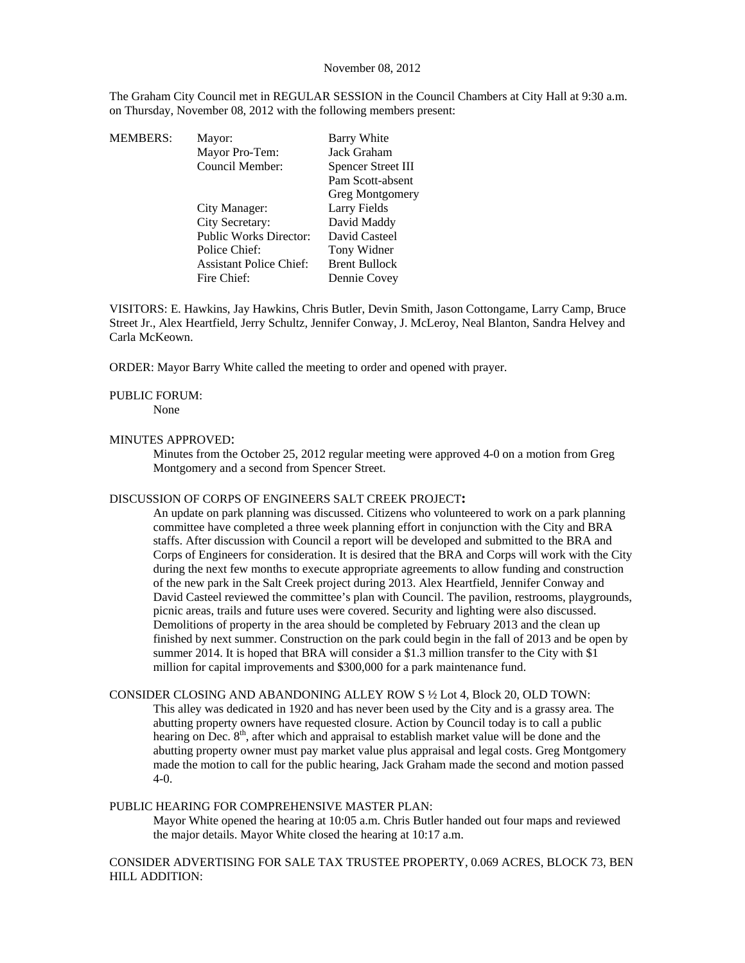#### November 08, 2012

The Graham City Council met in REGULAR SESSION in the Council Chambers at City Hall at 9:30 a.m. on Thursday, November 08, 2012 with the following members present:

| MEMBERS: | Mayor:                         | Barry White            |
|----------|--------------------------------|------------------------|
|          | Mayor Pro-Tem:                 | Jack Graham            |
|          | Council Member:                | Spencer Street III     |
|          |                                | Pam Scott-absent       |
|          |                                | <b>Greg Montgomery</b> |
|          | City Manager:                  | Larry Fields           |
|          | City Secretary:                | David Maddy            |
|          | <b>Public Works Director:</b>  | David Casteel          |
|          | Police Chief:                  | Tony Widner            |
|          | <b>Assistant Police Chief:</b> | <b>Brent Bullock</b>   |
|          | Fire Chief:                    | Dennie Covey           |
|          |                                |                        |

VISITORS: E. Hawkins, Jay Hawkins, Chris Butler, Devin Smith, Jason Cottongame, Larry Camp, Bruce Street Jr., Alex Heartfield, Jerry Schultz, Jennifer Conway, J. McLeroy, Neal Blanton, Sandra Helvey and Carla McKeown.

ORDER: Mayor Barry White called the meeting to order and opened with prayer.

## PUBLIC FORUM:

None

## MINUTES APPROVED:

Minutes from the October 25, 2012 regular meeting were approved 4-0 on a motion from Greg Montgomery and a second from Spencer Street.

#### DISCUSSION OF CORPS OF ENGINEERS SALT CREEK PROJECT**:**

An update on park planning was discussed. Citizens who volunteered to work on a park planning committee have completed a three week planning effort in conjunction with the City and BRA staffs. After discussion with Council a report will be developed and submitted to the BRA and Corps of Engineers for consideration. It is desired that the BRA and Corps will work with the City during the next few months to execute appropriate agreements to allow funding and construction of the new park in the Salt Creek project during 2013. Alex Heartfield, Jennifer Conway and David Casteel reviewed the committee's plan with Council. The pavilion, restrooms, playgrounds, picnic areas, trails and future uses were covered. Security and lighting were also discussed. Demolitions of property in the area should be completed by February 2013 and the clean up finished by next summer. Construction on the park could begin in the fall of 2013 and be open by summer 2014. It is hoped that BRA will consider a \$1.3 million transfer to the City with \$1 million for capital improvements and \$300,000 for a park maintenance fund.

# CONSIDER CLOSING AND ABANDONING ALLEY ROW S ½ Lot 4, Block 20, OLD TOWN:

This alley was dedicated in 1920 and has never been used by the City and is a grassy area. The abutting property owners have requested closure. Action by Council today is to call a public hearing on Dec. 8<sup>th</sup>, after which and appraisal to establish market value will be done and the abutting property owner must pay market value plus appraisal and legal costs. Greg Montgomery made the motion to call for the public hearing, Jack Graham made the second and motion passed 4-0.

### PUBLIC HEARING FOR COMPREHENSIVE MASTER PLAN:

Mayor White opened the hearing at 10:05 a.m. Chris Butler handed out four maps and reviewed the major details. Mayor White closed the hearing at 10:17 a.m.

CONSIDER ADVERTISING FOR SALE TAX TRUSTEE PROPERTY, 0.069 ACRES, BLOCK 73, BEN HILL ADDITION: